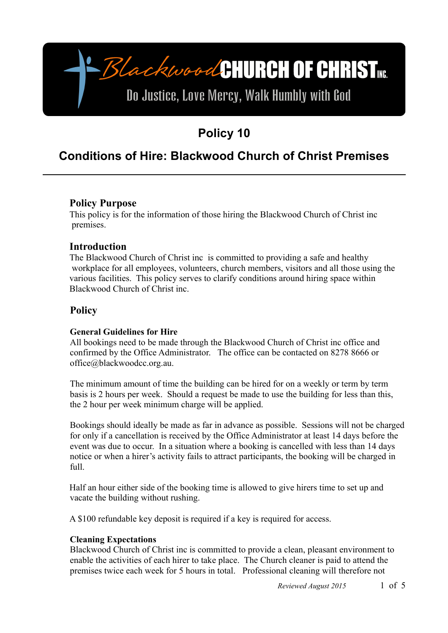# -BlackwoodCHURCH OF CHRIST

# Do Justice, Love Mercy, Walk Humbly with God

# **Policy 10**

## **Conditions of Hire: Blackwood Church of Christ Premises**

### **Policy Purpose**

This policy is for the information of those hiring the Blackwood Church of Christ inc premises.

#### **Introduction**

The Blackwood Church of Christ inc is committed to providing a safe and healthy workplace for all employees, volunteers, church members, visitors and all those using the various facilities. This policy serves to clarify conditions around hiring space within Blackwood Church of Christ inc.

## **Policy**

#### **General Guidelines for Hire**

All bookings need to be made through the Blackwood Church of Christ inc office and confirmed by the Office Administrator. The office can be contacted on 8278 8666 or office@blackwoodcc.org.au.

The minimum amount of time the building can be hired for on a weekly or term by term basis is 2 hours per week. Should a request be made to use the building for less than this, the 2 hour per week minimum charge will be applied.

Bookings should ideally be made as far in advance as possible. Sessions will not be charged for only if a cancellation is received by the Office Administrator at least 14 days before the event was due to occur. In a situation where a booking is cancelled with less than 14 days notice or when a hirer's activity fails to attract participants, the booking will be charged in  $f<sub>1</sub>$ ll.

Half an hour either side of the booking time is allowed to give hirers time to set up and vacate the building without rushing.

A \$100 refundable key deposit is required if a key is required for access.

#### **Cleaning Expectations**

Blackwood Church of Christ inc is committed to provide a clean, pleasant environment to enable the activities of each hirer to take place. The Church cleaner is paid to attend the premises twice each week for 5 hours in total. Professional cleaning will therefore not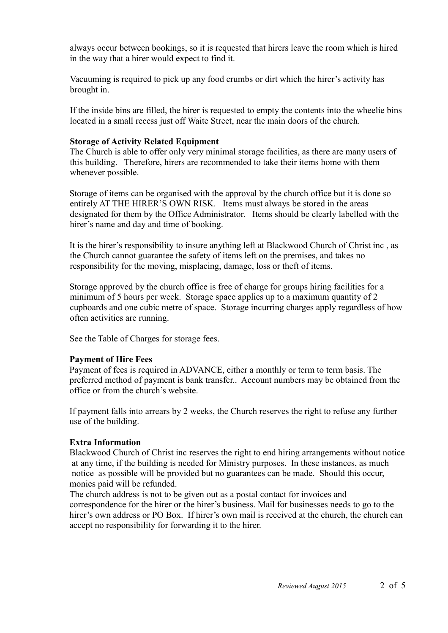always occur between bookings, so it is requested that hirers leave the room which is hired in the way that a hirer would expect to find it.

Vacuuming is required to pick up any food crumbs or dirt which the hirer's activity has brought in.

If the inside bins are filled, the hirer is requested to empty the contents into the wheelie bins located in a small recess just off Waite Street, near the main doors of the church.

#### **Storage of Activity Related Equipment**

The Church is able to offer only very minimal storage facilities, as there are many users of this building. Therefore, hirers are recommended to take their items home with them whenever possible.

Storage of items can be organised with the approval by the church office but it is done so entirely AT THE HIRER'S OWN RISK. Items must always be stored in the areas designated for them by the Office Administrator. Items should be clearly labelled with the hirer's name and day and time of booking.

It is the hirer's responsibility to insure anything left at Blackwood Church of Christ inc , as the Church cannot guarantee the safety of items left on the premises, and takes no responsibility for the moving, misplacing, damage, loss or theft of items.

Storage approved by the church office is free of charge for groups hiring facilities for a minimum of 5 hours per week. Storage space applies up to a maximum quantity of 2 cupboards and one cubic metre of space. Storage incurring charges apply regardless of how often activities are running.

See the Table of Charges for storage fees.

#### **Payment of Hire Fees**

Payment of fees is required in ADVANCE, either a monthly or term to term basis. The preferred method of payment is bank transfer.. Account numbers may be obtained from the office or from the church's website.

If payment falls into arrears by 2 weeks, the Church reserves the right to refuse any further use of the building.

#### **Extra Information**

Blackwood Church of Christ inc reserves the right to end hiring arrangements without notice at any time, if the building is needed for Ministry purposes. In these instances, as much notice as possible will be provided but no guarantees can be made. Should this occur, monies paid will be refunded.

The church address is not to be given out as a postal contact for invoices and correspondence for the hirer or the hirer's business. Mail for businesses needs to go to the hirer's own address or PO Box. If hirer's own mail is received at the church, the church can accept no responsibility for forwarding it to the hirer.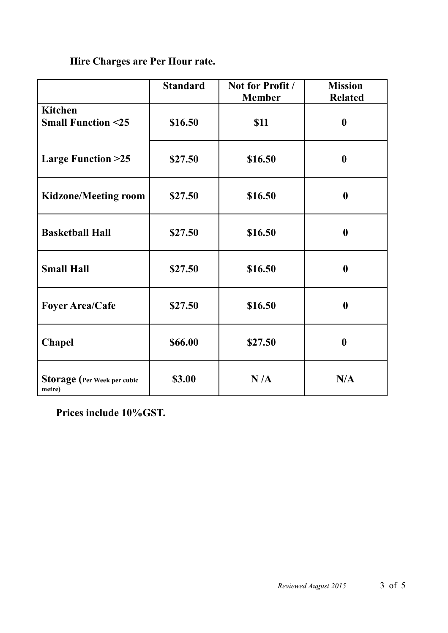## **Hire Charges are Per Hour rate.**

|                                                | <b>Standard</b> | Not for Profit /<br><b>Member</b> | <b>Mission</b><br><b>Related</b> |
|------------------------------------------------|-----------------|-----------------------------------|----------------------------------|
| <b>Kitchen</b><br><b>Small Function &lt;25</b> | \$16.50         | <b>\$11</b>                       | $\boldsymbol{0}$                 |
| <b>Large Function &gt;25</b>                   | \$27.50         | \$16.50                           | $\boldsymbol{0}$                 |
| <b>Kidzone/Meeting room</b>                    | \$27.50         | \$16.50                           | $\boldsymbol{0}$                 |
| <b>Basketball Hall</b>                         | \$27.50         | \$16.50                           | $\boldsymbol{0}$                 |
| <b>Small Hall</b>                              | \$27.50         | \$16.50                           | $\boldsymbol{0}$                 |
| <b>Foyer Area/Cafe</b>                         | \$27.50         | \$16.50                           | $\boldsymbol{0}$                 |
| <b>Chapel</b>                                  | \$66.00         | \$27.50                           | $\boldsymbol{0}$                 |
| <b>Storage</b> (Per Week per cubic<br>metre)   | \$3.00          | N/A                               | N/A                              |

 **Prices include 10%GST.**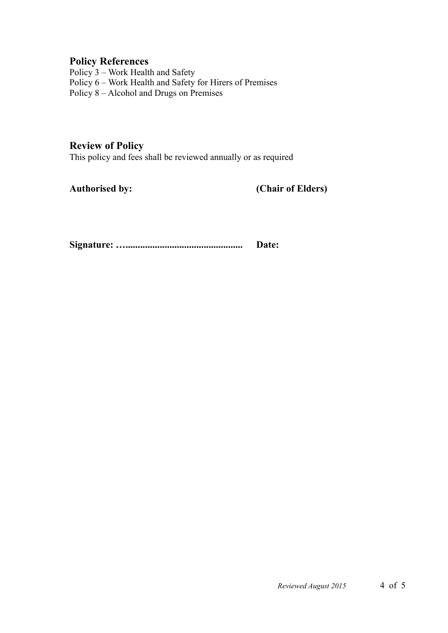#### **Policy References**

Policy 3 – Work Health and Safety Policy 6 – Work Health and Safety for Hirers of Premises Policy 8 – Alcohol and Drugs on Premises

#### **Review of Policy**

This policy and fees shall be reviewed annually or as required

**Authorised by: (Chair of Elders)**

**Signature: …................................................ Date:**